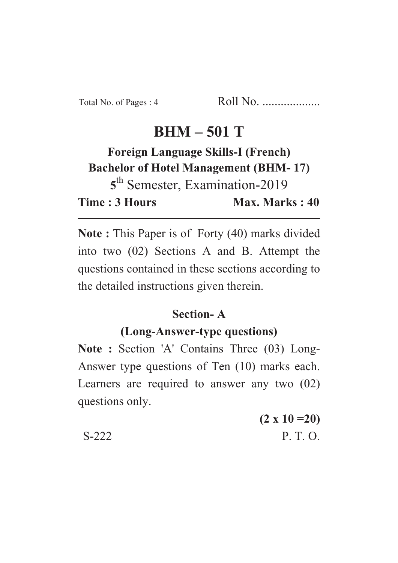# $BHM - 501$  T

#### **Foreign Language Skills-I (French) Bachelor of Hotel Management (BHM-17)** 5<sup>th</sup> Semester, Examination-2019 Max. Marks: 40 **Time: 3 Hours Time : 3 Hours Max. Marks : 40**

**Note :** This Paper is of Forty (40) marks divided into two (02) Sections A and B. Attempt the questions contained in these sections according to the detailed instructions given therein.

## Section-A

## (Long-Answer-type questions)

**(Long-Answer-type questions) Note : Section 'A' Contains Three (03) Long-**Answer type questions of Ten (10) marks each. Learners are required to answer any two (02) questions only.

**(2 x 10 =20)** S-222 P. T. O.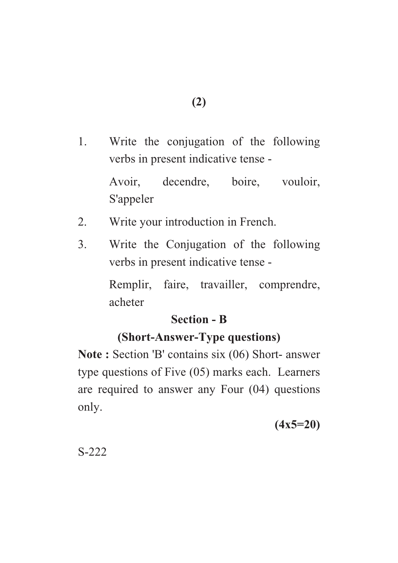1. Write the conjugation of the following verbs in present indicative tense -

> Avoir, decendre, boire, vouloir, S'appeler

- 2. Write your introduction in French.
- 3. Write the Conjugation of the following verbs in present indicative tense -

Remplir, faire, travailler, comprendre, acheter

#### **Section - B**

## **(Short-Answer-Type questions)**

**(Short-Answer-Type questions) Note : Section 'B' contains six (06) Short- answer** type questions of Five (05) marks each. Learners are required to answer any Four (04) questions only.

**(4x5=20)**

S-222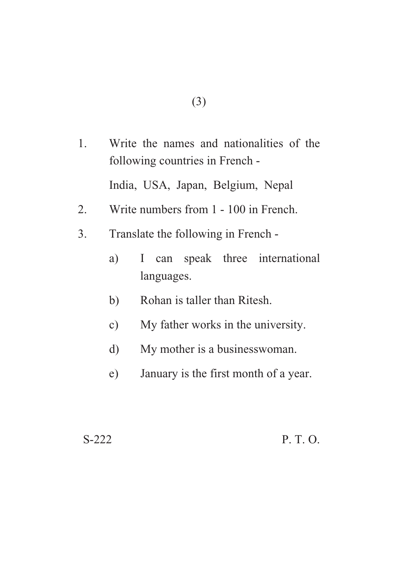1. Write the names and nationalities of the following countries in French -

India, USA, Japan, Belgium, Nepal

- 2. Write numbers from 1 100 in French.
- 3. Translate the following in French
	- a) I can speak three international languages.
	- b) Rohan is taller than Ritesh.
	- c) My father works in the university.
	- d) My mother is a businesswoman.
	- e) January is the first month of a year.

#### S-222 P. T. O.